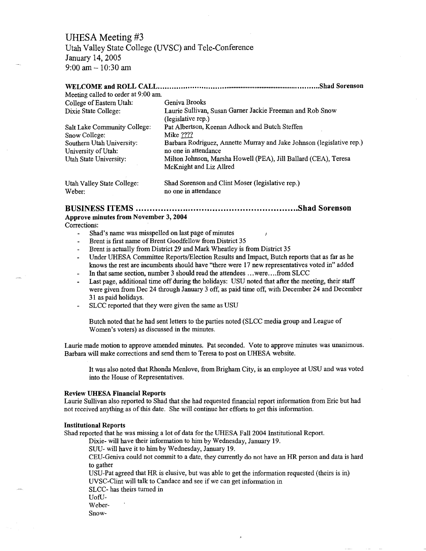# UHESA Meeting #3

Utah Valley State College (UVSC) and Tele-Conference January 14,2005 9:00 am-10:30 am

#### **WELCOME and ROLL CALL Shad Sorenson** Meeting called to order at 9:00 am.

| incering called to order at 5.00 and |                                                                                 |
|--------------------------------------|---------------------------------------------------------------------------------|
| College of Eastern Utah:             | Geniva Brooks                                                                   |
| Dixie State College:                 | Laurie Sullivan, Susan Garner Jackie Freeman and Rob Snow<br>(legislative rep.) |
| Salt Lake Community College:         | Pat Albertson, Keenan Adhock and Butch Steffen                                  |
| Snow College:                        | Mike ????                                                                       |
| Southern Utah University:            | Barbara Rodriguez, Annette Murray and Jake Johnson (legislative rep.)           |
| University of Utah:                  | no one in attendance                                                            |
| Utah State University:               | Milton Johnson, Marsha Howell (PEA), Jill Ballard (CEA), Teresa                 |
|                                      | McKnight and Liz Allred                                                         |
| Utah Valley State College:           | Shad Sorenson and Clint Moser (legislative rep.)                                |
| Weber:                               | no one in attendance                                                            |

BUSINESS **ITEMS Shad Sorenson Approve minutes from November 3, 2004**

#### Corrections:

- Shad's name was misspelled on last page of minutes
- Brent is first name of Brent Goodfellow from District 35
- Brent is actually from District 29 and Mark Wheatley is from District 35
- Under UHESA Committee Reports/Election Results and Impact, Butch reports that as far as he knows the rest are incumbents should have "there were 17 new representatives voted in" added
- In that same section, number 3 should read the attendees .. .were... .from SLCC
- Last page, additional time off during the holidays: USU noted that after the meeting, their staff  $\overline{a}$ were given from Dec 24 through January 3 off, as paid time off, with December 24 and December 31 as paid holidays.
- SLCC reported that they were given the same as USU

Butch noted that he had sent letters to the parties noted (SLCC media group and League of Women's voters) as discussed in the minutes.

Laurie made motion to approve amended minutes. Pat seconded. Vote to approve minutes was unanimous. Barbara will make corrections and send them to Teresa to post on UHESA website.

It was also noted that Rhonda Menlove, from Brigham City, is an employee at USU and was voted into the House of Representatives.

#### **Review UHESA Financial Reports**

Laurie Sullivan also reported to Shad that she had requested financial report information from Eric but had not received anything as of this date. She will continue her efforts to get this information.

### **Institutional Reports**

Shad reported that he was missing a lot of data for the UHESA Fall 2004 Institutional Report.

Dixie- will have their information to him by Wednesday, January 19.

SUU- will have it to him by Wednesday, January 19.

CEU-Geniva could not commit to a date, they currently do not have an HR person and data is hard to gather

USU-Pat agreed that HR is elusive, but was able to get the information requested (theirs is in) UVSC-Clint will talk to Candace and see if we can get information in

SLCC- has theirs turned in

- UofU-
- Weber-

Snow-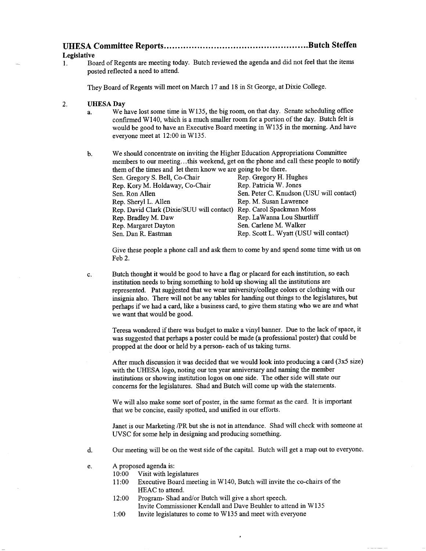| <b>T T T T</b> |  |
|----------------|--|

**Legislative**

1. Board of Regents are meeting today. Butch reviewed the agenda and did not feel that the items posted reflected a need to attend.

They Board of Regents will meet on March 17 and 18 in St George, at Dixie College.

#### **2. UHESA Day**

- a. We have lost some time in W135, the big room, on that day. Senate scheduling office confirmed WHO, which is a much smaller room for a portion of the day. Butch felt is would be good to have an Executive Board meeting in W135 in the morning. And have everyone meet at 12:00 in W135.
- b. We should concentrate on inviting the Higher Education Appropriations Committee members to our meeting.. .this weekend, get on the phone and call these people to notify them of the times and let them know we are going to be there. Sen. Gregory S. Bell, Co-Chair Rep. Gregory H. Hughes Rep. Kory M. Holdaway, Co-Chair Rep. Patricia W. Jones Sen. Ron Allen Sen. Peter C. Knudson (USU will contact) Rep. Sheryl L. Allen Rep. M. Susan Lawrence Rep. David Clark (Dixie/SUU will contact) Rep. Carol Spackman Moss Rep. Bradley M. Daw Rep. La Wanna Lou Shurtliff Rep. Margaret Dayton Sen. Carlene M. Walker Sen. Dan R. Eastman Rep. Scott L. Wyatt (USU will contact)

Give these people a phone call and ask them to come by and spend some time with us on Feb 2.

c. Butch thought it would be good to have a flag or placard for each institution, so each institution needs to bring something to hold up showing all the institutions are represented. Pat suggested that we wear university/college colors or clothing with our insignia also. There will not be any tables for handing out things to the legislatures, but perhaps if we had a card, like a business card, to give them stating who we are and what we want that would be good.

Teresa wondered if there was budget to make a vinyl banner. Due to the lack of space, it was suggested that perhaps a poster could be made (a professional poster) that could be propped at the door or held by a person- each of us taking turns.

After much discussion it was decided that we would look into producing a card (3x5 size) with the UHESA logo, noting our ten year anniversary and naming the member institutions or showing institution logos on one side. The other side will state our concerns for the legislatures. Shad and Butch will come up with the statements.

We will also make some sort of poster, in the same format as the card. It is important that we be concise, easily spotted, and unified in our efforts.

Janet is our Marketing /PR but she is not in attendance. Shad will check with someone at UVSC for some help in designing and producing something.

- d. Our meeting will be on the west side of the capital. Butch will get a map out to everyone.
- e. A proposed agenda is:
	- 10:00 Visit with legislatures
	- 11:00 Executive Board meeting in W140, Butch will invite the co-chairs of the HEAC to attend.
	- 12:00 Program- Shad and/or Butch will give a short speech. Invite Commissioner Kendall and Dave Beuhler to attend in W135
	- 1:00 Invite legislatures to come to W135 and meet with everyone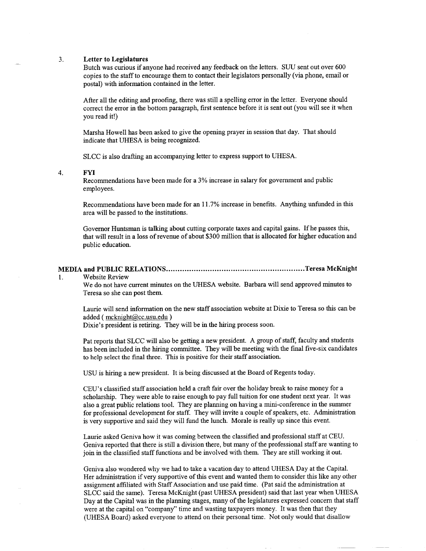#### **3. Letter to Legislatures**

Butch was curious if anyone had received any feedback on the letters. SUU sent out over 600 copies to the staff to encourage them to contact their legislators personally (via phone, email or postal) with information contained in the letter.

After all the editing and proofing, there was still a spelling error in the letter. Everyone should correct the error in the bottom paragraph, first sentence before it is sent out (you will see it when you read it!)

Marsha Howell has been asked to give the opening prayer in session that day. That should indicate that UHESA is being recognized.

SLCC is also drafting an accompanying letter to express support to UHESA.

4. FYI

Recommendations have been made for a 3% increase in salary for government and public employees.

Recommendations have been made for an 11.7% increase in benefits. Anything unfunded in this area will be passed to the institutions.

Governor Huntsman is talking about cutting corporate taxes and capital gains. If he passes this, that will result in a loss of revenue of about \$300 million that is allocated for higher education and public education.

## **MEDIA and PUBLIC RELATIONS Teresa McKnight**

1. Website Review

We do not have current minutes on the UHESA website. Barbara will send approved minutes to Teresa so she can post them.

Laurie will send information on the new staff association website at Dixie to Teresa so this can be added (mcknight@cc.usu.edu)

Dixie's president is retiring. They will be in the hiring process soon.

Pat reports that SLCC will also be getting a new president. A group of staff, faculty and students has been included in the hiring committee. They will be meeting with the final five-six candidates to help select the final three. This is positive for their staff association.

USU is hiring a new president. It is being discussed at the Board of Regents today.

CEU's classified staff association held a craft fair over the holiday break to raise money for a scholarship. They were able to raise enough to pay full tuition for one student next year. It was also a great public relations tool. They are planning on having a mini-conference in the summer for professional development for staff. They will invite a couple of speakers, etc. Administration is very supportive and said they will fund the lunch. Morale is really up since this event.

Laurie asked Geniva how it was coming between the classified and professional staff at CEU. Geniva reported that there is still a division there, but many of the professional staff are wanting to join in the classified staff functions and be involved with them. They are still working it out.

Geniva also wondered why we had to take a vacation day to attend UHESA Day at the Capital. Her administration if very supportive of this event and wanted them to consider this like any other assignment affiliated with Staff Association and use paid time. (Pat said the administration at SLCC said the same). Teresa McKnight (past UHESA president) said that last year when UHESA Day at the Capital was in the planning stages, many of the legislatures expressed concern that staff were at the capital on "company" time and wasting taxpayers money. It was then that they (UHESA Board) asked everyone to attend on their personal time. Not only would that disallow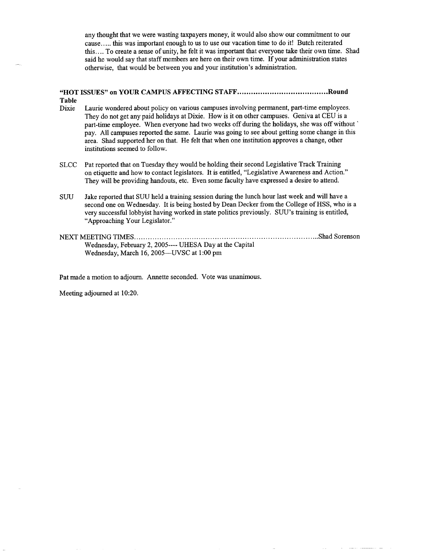any thought that we were wasting taxpayers money, it would also show our commitment to our cause..... this was important enough to us to use our vacation time to do it! Butch reiterated this.... To create a sense of unity, he felt it was important that everyone take their own time. Shad said he would say that staff members are here on their own time. If your administration states otherwise, that would be between you and your institution's administration.

## **"HOT ISSUES" on YOUR CAMPUS AFFECTING STAFF Round Table**

- Dixie Laurie wondered about policy on various campuses involving permanent, part-time employees. They do not get any paid holidays at Dixie. How is it on other campuses. Geniva at CEU is a part-time employee. When everyone had two weeks off during the holidays, she was off without' pay. All campuses reported the same. Laurie was going to see about getting some change in this area. Shad supported her on that. He felt that when one institution approves a change, other institutions seemed to follow.
- SLCC Pat reported that on Tuesday they would be holding their second Legislative Track Training on etiquette and how to contact legislators. It is entitled, "Legislative Awareness and Action." They will be providing handouts, etc. Even some faculty have expressed a desire to attend.
- SUU Jake reported that SUU held a training session during the lunch hour last week and will have a second one on Wednesday. It is being hosted by Dean Decker from the College of HSS, who is a very successful lobbyist having worked in state politics previously. SUU's training is entitled, "Approaching Your Legislator."
- NEXT MEETING TIMES ShadSorenson Wednesday, February 2, 2005---- UHESA Day at the Capital Wednesday, March 16, 2005—UVSC at 1:00 pm

Pat made a motion to adjourn. Annette seconded. Vote was unanimous.

Meeting adjourned at 10:20.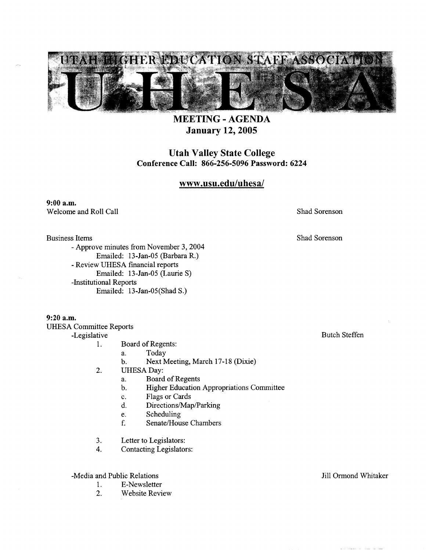

**MEETING-AGENDA January 12,2005**

**Utah Valley State College Conference Call: 866-256-5096 Password: 6224**

## **www.usu.edu/uhesa/**

9:00 a.m. Welcome and Roll Call Shad Sorenson

Shad Sorenson

Business Items

- Approve minutes from November 3, 2004 Emailed: 13 -Jan-05 (Barbara R.) - Review UHESA financial reports Emailed: 13-Jan-05 (Laurie S) -Institutional Reports Emailed: 13-Jan-05(ShadS.)

9:20 a.m. UHESA Committee Reports -Legislative

1.

Board of Regents:

- a. Today
- b. Next Meeting, March 17-18 (Dixie)
- $2.$ UHESA Day:
	- a. Board of Regents
	- b. Higher Education Appropriations Committee
	- c. Flags or Cards
	- d. Directions/Map/Parking
	- e. Scheduling
	- f. Senate/House Chambers
- 3. Letter to Legislators:
- 4. Contacting Legislators:

-Media and Public Relations

- 1. E-Newsletter
- 2. Website Review

Butch Steffen

Jill Ormond Whitaker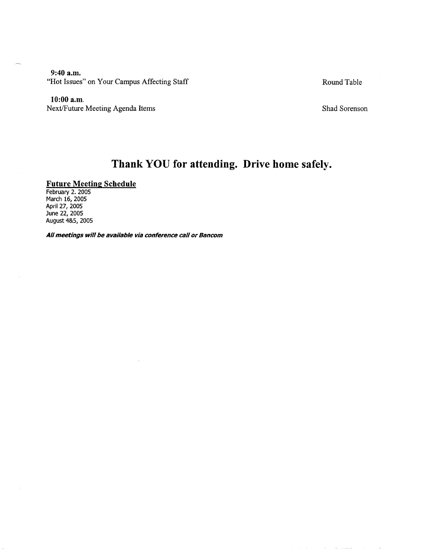**9:40 a.m.** "Hot Issues" on Your Campus Affecting Staff Round Table

**10:00 a.m.**

Next/Future Meeting Agenda Items Shad Sorenson

# **Thank YOU for attending. Drive home safely.**

## **Future Meeting Schedule**

February 2. 2005 March 16, 2005 April 27, 2005 June 22, 2005 August 4&5, 2005

**All meetings will be available via conference call or Bancom**